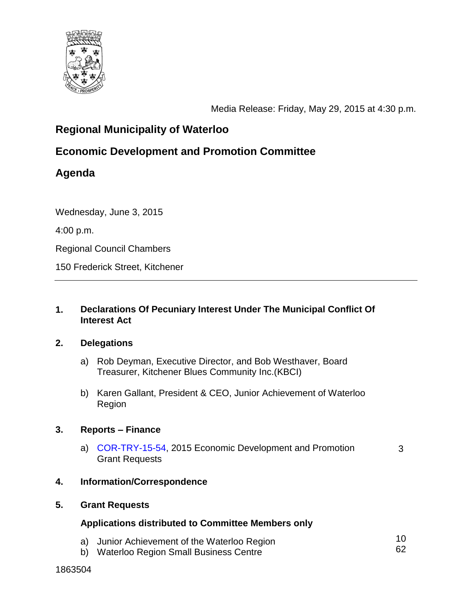

Media Release: Friday, May 29, 2015 at 4:30 p.m.

3

# **Regional Municipality of Waterloo**

# **Economic Development and Promotion Committee**

# **Agenda**

Wednesday, June 3, 2015

4:00 p.m.

Regional Council Chambers

150 Frederick Street, Kitchener

### **1. Declarations Of Pecuniary Interest Under The Municipal Conflict Of Interest Act**

### **2. Delegations**

- a) Rob Deyman, Executive Director, and Bob Westhaver, Board Treasurer, Kitchener Blues Community Inc.(KBCI)
- b) Karen Gallant, President & CEO, Junior Achievement of Waterloo Region

### **3. Reports – Finance**

a) [COR-TRY-15-54,](#page-2-0) 2015 Economic Development and Promotion Grant Requests

### **4. Information/Correspondence**

### **5. Grant Requests**

### **Applications distributed to Committee Members only**

- a) Junior Achievement of the Waterloo Region 10 62
- b) Waterloo Region Small Business Centre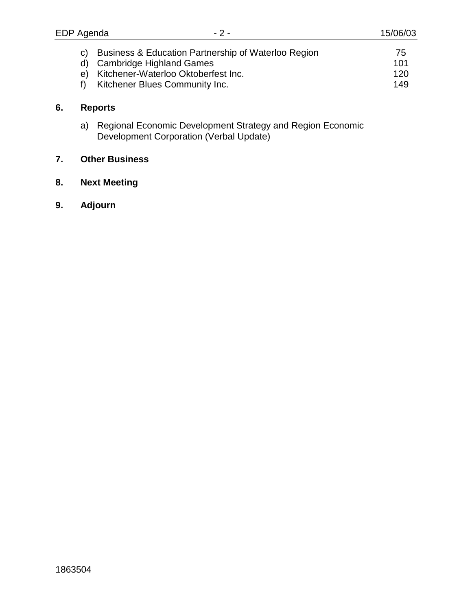| c) Business & Education Partnership of Waterloo Region | 75  |
|--------------------------------------------------------|-----|
| d) Cambridge Highland Games                            | 101 |
| e) Kitchener-Waterloo Oktoberfest Inc.                 | 120 |
| Kitchener Blues Community Inc.                         | 149 |

## **6. Reports**

a) Regional Economic Development Strategy and Region Economic Development Corporation (Verbal Update)

## **7. Other Business**

- **8. Next Meeting**
- **9. Adjourn**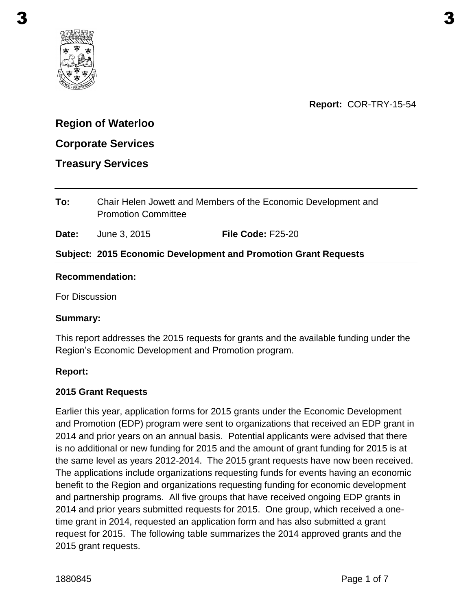<span id="page-2-0"></span>

**Report:** COR-TRY-15-54

## **Region of Waterloo**

## **Corporate Services**

### **Treasury Services**

**To:** Chair Helen Jowett and Members of the Economic Development and Promotion Committee

**Date:** June 3, 2015 **File Code:** F25-20

### **Subject: 2015 Economic Development and Promotion Grant Requests**

#### **Recommendation:**

For Discussion

#### **Summary:**

This report addresses the 2015 requests for grants and the available funding under the Region's Economic Development and Promotion program.

#### **Report:**

#### **2015 Grant Requests**

Earlier this year, application forms for 2015 grants under the Economic Development and Promotion (EDP) program were sent to organizations that received an EDP grant in 2014 and prior years on an annual basis. Potential applicants were advised that there is no additional or new funding for 2015 and the amount of grant funding for 2015 is at the same level as years 2012-2014. The 2015 grant requests have now been received. The applications include organizations requesting funds for events having an economic benefit to the Region and organizations requesting funding for economic development and partnership programs. All five groups that have received ongoing EDP grants in 2014 and prior years submitted requests for 2015. One group, which received a onetime grant in 2014, requested an application form and has also submitted a grant request for 2015. The following table summarizes the 2014 approved grants and the 2015 grant requests.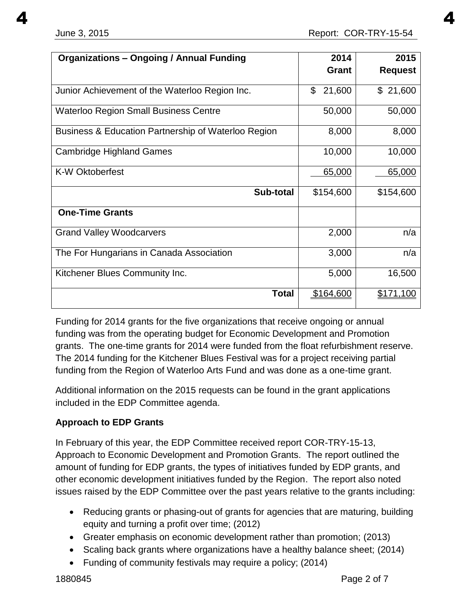| <b>Organizations - Ongoing / Annual Funding</b>     | 2014<br><b>Grant</b> | 2015<br><b>Request</b> |
|-----------------------------------------------------|----------------------|------------------------|
| Junior Achievement of the Waterloo Region Inc.      | 21,600<br>\$         | \$21,600               |
| <b>Waterloo Region Small Business Centre</b>        | 50,000               | 50,000                 |
| Business & Education Partnership of Waterloo Region | 8,000                | 8,000                  |
| <b>Cambridge Highland Games</b>                     | 10,000               | 10,000                 |
| <b>K-W Oktoberfest</b>                              | 65,000               | 65,000                 |
| Sub-total                                           | \$154,600            | \$154,600              |
| <b>One-Time Grants</b>                              |                      |                        |
| <b>Grand Valley Woodcarvers</b>                     | 2,000                | n/a                    |
| The For Hungarians in Canada Association            | 3,000                | n/a                    |
| Kitchener Blues Community Inc.                      | 5,000                | 16,500                 |
| <b>Total</b>                                        | \$164,600            | \$171,100              |

Funding for 2014 grants for the five organizations that receive ongoing or annual funding was from the operating budget for Economic Development and Promotion grants. The one-time grants for 2014 were funded from the float refurbishment reserve. The 2014 funding for the Kitchener Blues Festival was for a project receiving partial funding from the Region of Waterloo Arts Fund and was done as a one-time grant.

Additional information on the 2015 requests can be found in the grant applications included in the EDP Committee agenda.

## **Approach to EDP Grants**

In February of this year, the EDP Committee received report COR-TRY-15-13, Approach to Economic Development and Promotion Grants.The report outlined the amount of funding for EDP grants, the types of initiatives funded by EDP grants, and other economic development initiatives funded by the Region. The report also noted issues raised by the EDP Committee over the past years relative to the grants including:

- Reducing grants or phasing-out of grants for agencies that are maturing, building equity and turning a profit over time; (2012)
- Greater emphasis on economic development rather than promotion; (2013)
- Scaling back grants where organizations have a healthy balance sheet; (2014)
- Funding of community festivals may require a policy; (2014)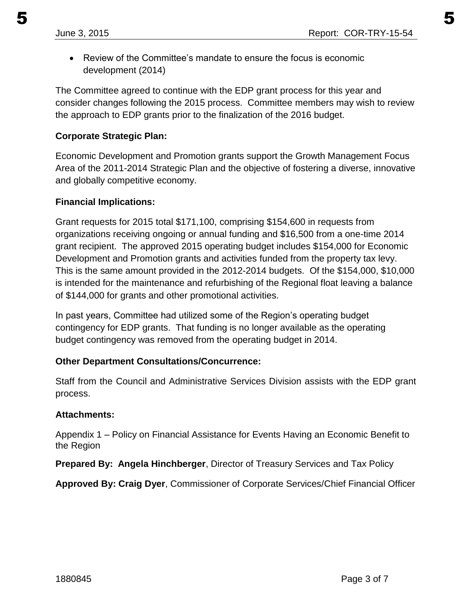Review of the Committee's mandate to ensure the focus is economic development (2014)

The Committee agreed to continue with the EDP grant process for this year and consider changes following the 2015 process. Committee members may wish to review the approach to EDP grants prior to the finalization of the 2016 budget.

### **Corporate Strategic Plan:**

Economic Development and Promotion grants support the Growth Management Focus Area of the 2011-2014 Strategic Plan and the objective of fostering a diverse, innovative and globally competitive economy.

### **Financial Implications:**

Grant requests for 2015 total \$171,100, comprising \$154,600 in requests from organizations receiving ongoing or annual funding and \$16,500 from a one-time 2014 grant recipient. The approved 2015 operating budget includes \$154,000 for Economic Development and Promotion grants and activities funded from the property tax levy. This is the same amount provided in the 2012-2014 budgets. Of the \$154,000, \$10,000 is intended for the maintenance and refurbishing of the Regional float leaving a balance of \$144,000 for grants and other promotional activities.

In past years, Committee had utilized some of the Region's operating budget contingency for EDP grants. That funding is no longer available as the operating budget contingency was removed from the operating budget in 2014.

## **Other Department Consultations/Concurrence:**

Staff from the Council and Administrative Services Division assists with the EDP grant process.

### **Attachments:**

Appendix 1 – Policy on Financial Assistance for Events Having an Economic Benefit to the Region

**Prepared By: Angela Hinchberger**, Director of Treasury Services and Tax Policy

**Approved By: Craig Dyer**, Commissioner of Corporate Services/Chief Financial Officer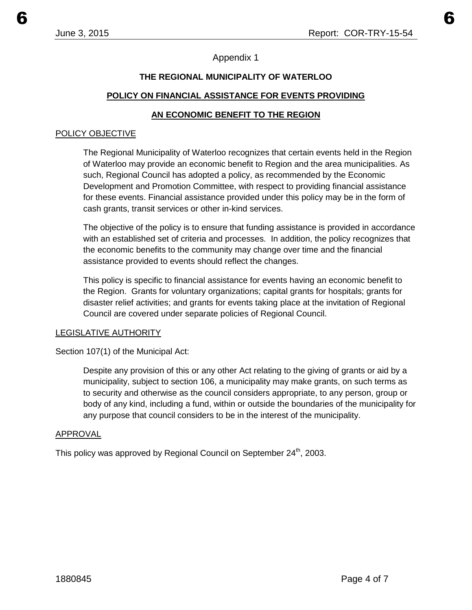### Appendix 1

### **THE REGIONAL MUNICIPALITY OF WATERLOO**

#### **POLICY ON FINANCIAL ASSISTANCE FOR EVENTS PROVIDING**

#### **AN ECONOMIC BENEFIT TO THE REGION**

#### POLICY OBJECTIVE

The Regional Municipality of Waterloo recognizes that certain events held in the Region of Waterloo may provide an economic benefit to Region and the area municipalities. As such, Regional Council has adopted a policy, as recommended by the Economic Development and Promotion Committee, with respect to providing financial assistance for these events. Financial assistance provided under this policy may be in the form of cash grants, transit services or other in-kind services.

The objective of the policy is to ensure that funding assistance is provided in accordance with an established set of criteria and processes. In addition, the policy recognizes that the economic benefits to the community may change over time and the financial assistance provided to events should reflect the changes.

This policy is specific to financial assistance for events having an economic benefit to the Region. Grants for voluntary organizations; capital grants for hospitals; grants for disaster relief activities; and grants for events taking place at the invitation of Regional Council are covered under separate policies of Regional Council.

#### LEGISLATIVE AUTHORITY

Section 107(1) of the Municipal Act:

Despite any provision of this or any other Act relating to the giving of grants or aid by a municipality, subject to section 106, a municipality may make grants, on such terms as to security and otherwise as the council considers appropriate, to any person, group or body of any kind, including a fund, within or outside the boundaries of the municipality for any purpose that council considers to be in the interest of the municipality.

#### APPROVAL

This policy was approved by Regional Council on September 24<sup>th</sup>, 2003.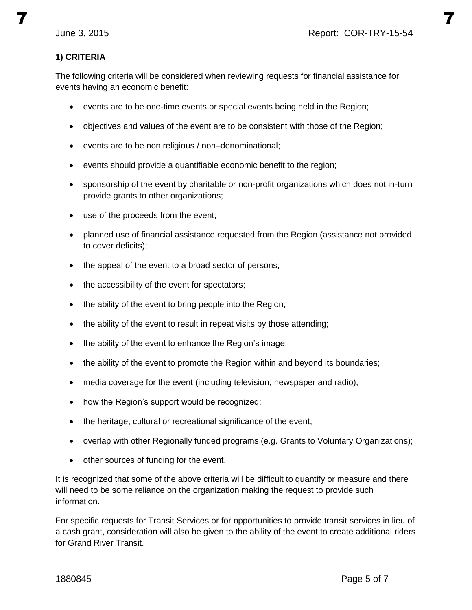### **1) CRITERIA**

The following criteria will be considered when reviewing requests for financial assistance for events having an economic benefit:

- events are to be one-time events or special events being held in the Region;
- objectives and values of the event are to be consistent with those of the Region;
- events are to be non religious / non–denominational;
- events should provide a quantifiable economic benefit to the region;
- sponsorship of the event by charitable or non-profit organizations which does not in-turn provide grants to other organizations;
- use of the proceeds from the event;
- planned use of financial assistance requested from the Region (assistance not provided to cover deficits);
- the appeal of the event to a broad sector of persons;
- the accessibility of the event for spectators;
- the ability of the event to bring people into the Region;
- the ability of the event to result in repeat visits by those attending;
- the ability of the event to enhance the Region's image;
- the ability of the event to promote the Region within and beyond its boundaries;
- media coverage for the event (including television, newspaper and radio);
- how the Region's support would be recognized;
- the heritage, cultural or recreational significance of the event;
- overlap with other Regionally funded programs (e.g. Grants to Voluntary Organizations);
- other sources of funding for the event.

It is recognized that some of the above criteria will be difficult to quantify or measure and there will need to be some reliance on the organization making the request to provide such information.

For specific requests for Transit Services or for opportunities to provide transit services in lieu of a cash grant, consideration will also be given to the ability of the event to create additional riders for Grand River Transit.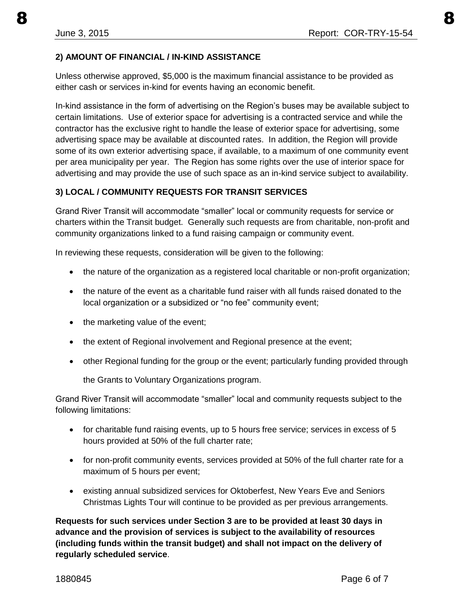#### **2) AMOUNT OF FINANCIAL / IN-KIND ASSISTANCE**

Unless otherwise approved, \$5,000 is the maximum financial assistance to be provided as either cash or services in-kind for events having an economic benefit.

In-kind assistance in the form of advertising on the Region's buses may be available subject to certain limitations. Use of exterior space for advertising is a contracted service and while the contractor has the exclusive right to handle the lease of exterior space for advertising, some advertising space may be available at discounted rates. In addition, the Region will provide some of its own exterior advertising space, if available, to a maximum of one community event per area municipality per year. The Region has some rights over the use of interior space for advertising and may provide the use of such space as an in-kind service subject to availability.

### **3) LOCAL / COMMUNITY REQUESTS FOR TRANSIT SERVICES**

Grand River Transit will accommodate "smaller" local or community requests for service or charters within the Transit budget. Generally such requests are from charitable, non-profit and community organizations linked to a fund raising campaign or community event.

In reviewing these requests, consideration will be given to the following:

- the nature of the organization as a registered local charitable or non-profit organization;
- the nature of the event as a charitable fund raiser with all funds raised donated to the local organization or a subsidized or "no fee" community event;
- the marketing value of the event;
- the extent of Regional involvement and Regional presence at the event;
- other Regional funding for the group or the event; particularly funding provided through

the Grants to Voluntary Organizations program.

Grand River Transit will accommodate "smaller" local and community requests subject to the following limitations:

- for charitable fund raising events, up to 5 hours free service; services in excess of 5 hours provided at 50% of the full charter rate;
- for non-profit community events, services provided at 50% of the full charter rate for a maximum of 5 hours per event;
- existing annual subsidized services for Oktoberfest, New Years Eve and Seniors Christmas Lights Tour will continue to be provided as per previous arrangements.

**Requests for such services under Section 3 are to be provided at least 30 days in advance and the provision of services is subject to the availability of resources (including funds within the transit budget) and shall not impact on the delivery of regularly scheduled service**.